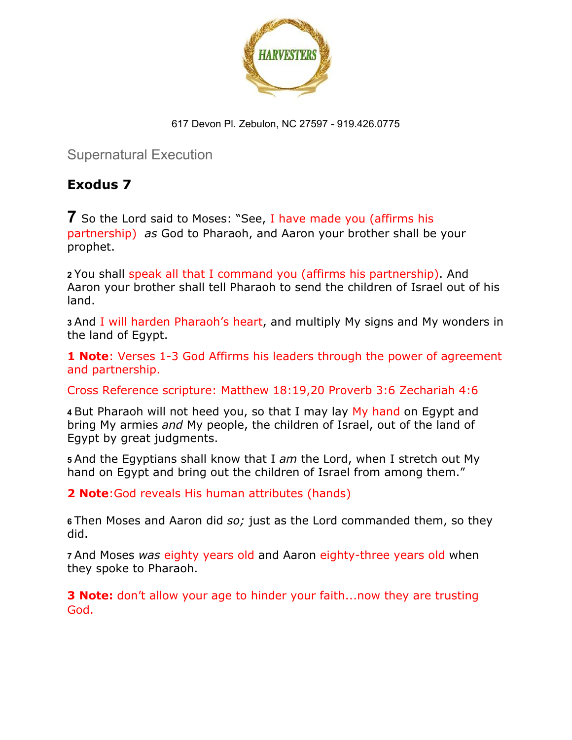

Supernatural Execution

## **Exodus 7**

**7** So the Lord said to Moses: "See, I have made you (affirms his partnership) *as* God to Pharaoh, and Aaron your brother shall be your prophet.

**<sup>2</sup>**You shall speak all that I command you (affirms his partnership). And Aaron your brother shall tell Pharaoh to send the children of Israel out of his land.

**<sup>3</sup>**And I will harden Pharaoh's heart, and multiply My signs and My wonders in the land of Egypt.

**1 Note**: Verses 1-3 God Affirms his leaders through the power of agreement and partnership.

Cross Reference scripture: Matthew 18:19,20 Proverb 3:6 Zechariah 4:6

**<sup>4</sup>**But Pharaoh will not heed you, so that I may lay My hand on Egypt and bring My armies *and* My people, the children of Israel, out of the land of Egypt by great judgments.

**<sup>5</sup>**And the Egyptians shall know that I *am* the Lord, when I stretch out My hand on Egypt and bring out the children of Israel from among them."

**2 Note**:God reveals His human attributes (hands)

**<sup>6</sup>**Then Moses and Aaron did *so;* just as the Lord commanded them, so they did.

**<sup>7</sup>**And Moses *was* eighty years old and Aaron eighty-three years old when they spoke to Pharaoh.

**3 Note:** don't allow your age to hinder your faith...now they are trusting God.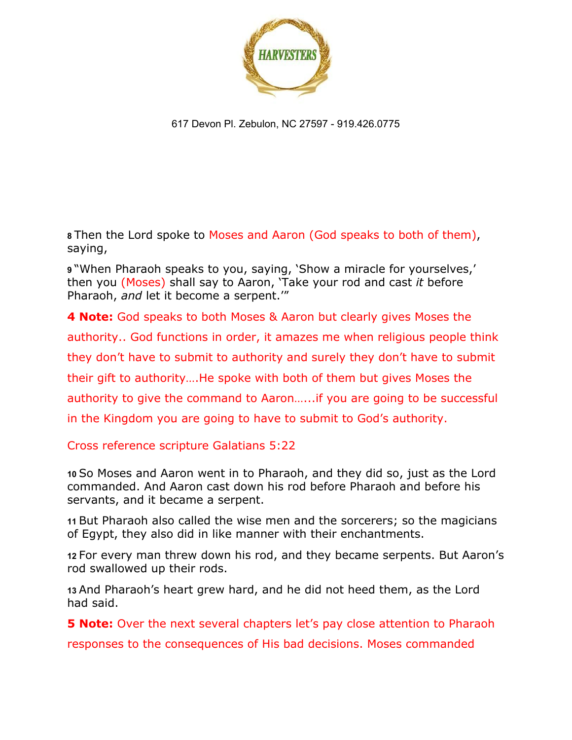

**<sup>8</sup>**Then the Lord spoke to Moses and Aaron (God speaks to both of them), saying,

**<sup>9</sup>**"When Pharaoh speaks to you, saying, 'Show a miracle for yourselves,' then you (Moses) shall say to Aaron, 'Take your rod and cast *it* before Pharaoh, *and* let it become a serpent.'"

**4 Note:** God speaks to both Moses & Aaron but clearly gives Moses the authority.. God functions in order, it amazes me when religious people think they don't have to submit to authority and surely they don't have to submit their gift to authority….He spoke with both of them but gives Moses the authority to give the command to Aaron…...if you are going to be successful in the Kingdom you are going to have to submit to God's authority.

Cross reference scripture Galatians 5:22

**<sup>10</sup>**So Moses and Aaron went in to Pharaoh, and they did so, just as the Lord commanded. And Aaron cast down his rod before Pharaoh and before his servants, and it became a serpent.

**<sup>11</sup>**But Pharaoh also called the wise men and the sorcerers; so the magicians of Egypt, they also did in like manner with their enchantments.

**<sup>12</sup>**For every man threw down his rod, and they became serpents. But Aaron's rod swallowed up their rods.

**<sup>13</sup>**And Pharaoh's heart grew hard, and he did not heed them, as the Lord had said.

**5 Note:** Over the next several chapters let's pay close attention to Pharaoh

responses to the consequences of His bad decisions. Moses commanded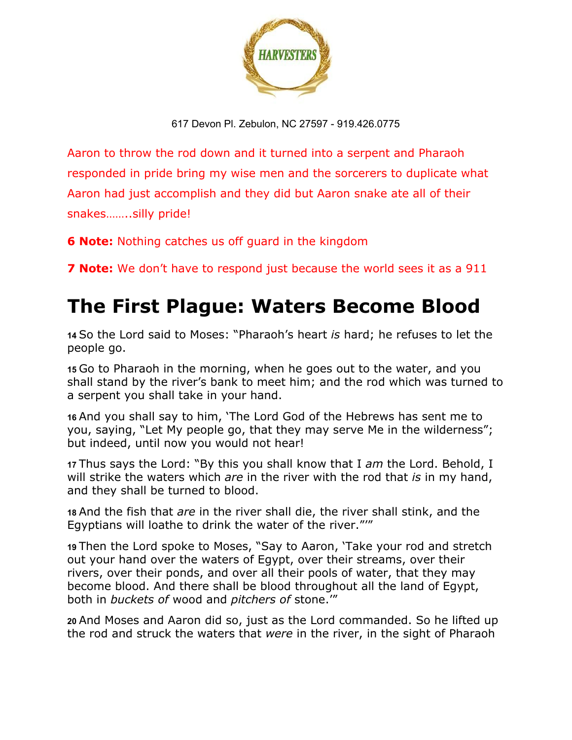

Aaron to throw the rod down and it turned into a serpent and Pharaoh responded in pride bring my wise men and the sorcerers to duplicate what Aaron had just accomplish and they did but Aaron snake ate all of their snakes……..silly pride!

**6 Note:** Nothing catches us off guard in the kingdom

**7 Note:** We don't have to respond just because the world sees it as a 911

## **The First Plague: Waters Become Blood**

**<sup>14</sup>**So the Lord said to Moses: "Pharaoh's heart *is* hard; he refuses to let the people go.

**<sup>15</sup>**Go to Pharaoh in the morning, when he goes out to the water, and you shall stand by the river's bank to meet him; and the rod which was turned to a serpent you shall take in your hand.

**<sup>16</sup>**And you shall say to him, 'The Lord God of the Hebrews has sent me to you, saying, "Let My people go, that they may serve Me in the wilderness"; but indeed, until now you would not hear!

**<sup>17</sup>**Thus says the Lord: "By this you shall know that I *am* the Lord. Behold, I will strike the waters which *are* in the river with the rod that *is* in my hand, and they shall be turned to blood.

**<sup>18</sup>**And the fish that *are* in the river shall die, the river shall stink, and the Egyptians will loathe to drink the water of the river."'"

**<sup>19</sup>**Then the Lord spoke to Moses, "Say to Aaron, 'Take your rod and stretch out your hand over the waters of Egypt, over their streams, over their rivers, over their ponds, and over all their pools of water, that they may become blood. And there shall be blood throughout all the land of Egypt, both in *buckets of* wood and *pitchers of* stone.'"

**<sup>20</sup>**And Moses and Aaron did so, just as the Lord commanded. So he lifted up the rod and struck the waters that *were* in the river, in the sight of Pharaoh